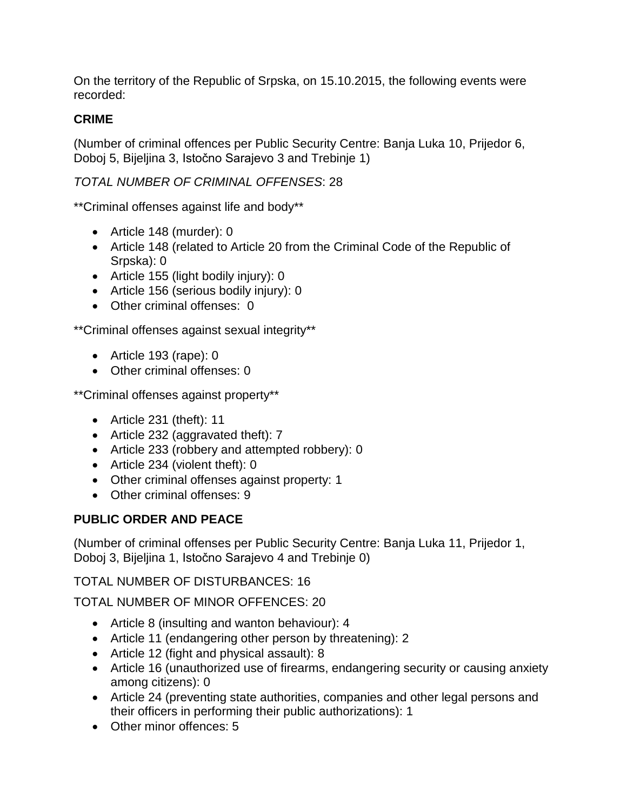On the territory of the Republic of Srpska, on 15.10.2015, the following events were recorded:

# **CRIME**

(Number of criminal offences per Public Security Centre: Banja Luka 10, Prijedor 6, Doboj 5, Bijeljina 3, Istočno Sarajevo 3 and Trebinje 1)

# *TOTAL NUMBER OF CRIMINAL OFFENSES*: 28

\*\*Criminal offenses against life and body\*\*

- Article 148 (murder): 0
- Article 148 (related to Article 20 from the Criminal Code of the Republic of Srpska): 0
- Article 155 (light bodily injury): 0
- Article 156 (serious bodily injury): 0
- Other criminal offenses: 0

\*\*Criminal offenses against sexual integrity\*\*

- Article 193 (rape): 0
- Other criminal offenses: 0

\*\*Criminal offenses against property\*\*

- $\bullet$  Article 231 (theft): 11
- Article 232 (aggravated theft): 7
- Article 233 (robbery and attempted robbery): 0
- Article 234 (violent theft): 0
- Other criminal offenses against property: 1
- Other criminal offenses: 9

# **PUBLIC ORDER AND PEACE**

(Number of criminal offenses per Public Security Centre: Banja Luka 11, Prijedor 1, Doboj 3, Bijeljina 1, Istočno Sarajevo 4 and Trebinje 0)

TOTAL NUMBER OF DISTURBANCES: 16

TOTAL NUMBER OF MINOR OFFENCES: 20

- Article 8 (insulting and wanton behaviour): 4
- Article 11 (endangering other person by threatening): 2
- Article 12 (fight and physical assault): 8
- Article 16 (unauthorized use of firearms, endangering security or causing anxiety among citizens): 0
- Article 24 (preventing state authorities, companies and other legal persons and their officers in performing their public authorizations): 1
- Other minor offences: 5